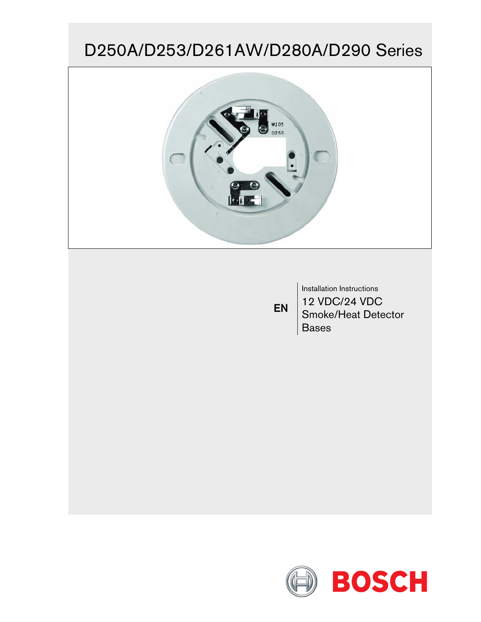# D250A/D253/D261AW/D280A/D290 Series



EN

Installation Instructions 12 VDC/24 VDC Smoke/Heat Detector Bases

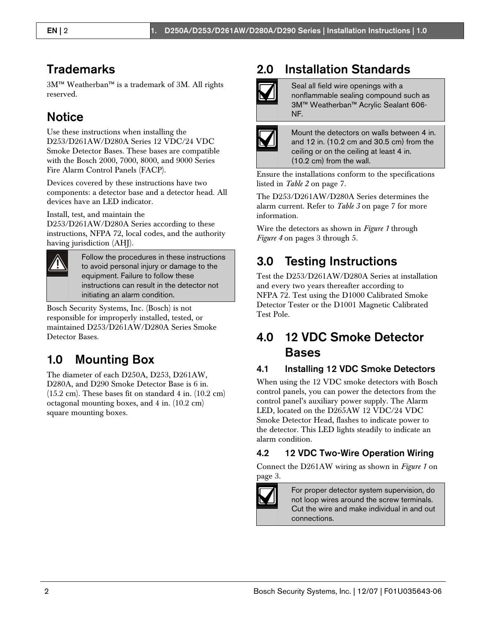### **Trademarks**

3M™ Weatherban™ is a trademark of 3M. All rights reserved.

### **Notice**

Use these instructions when installing the D253/D261AW/D280A Series 12 VDC/24 VDC Smoke Detector Bases. These bases are compatible with the Bosch 2000, 7000, 8000, and 9000 Series Fire Alarm Control Panels (FACP).

Devices covered by these instructions have two components: a detector base and a detector head. All devices have an LED indicator.

Install, test, and maintain the

D253/D261AW/D280A Series according to these instructions, NFPA 72, local codes, and the authority having jurisdiction (AHJ).



Follow the procedures in these instructions to avoid personal injury or damage to the equipment. Failure to follow these instructions can result in the detector not initiating an alarm condition.

Bosch Security Systems, Inc. (Bosch) is not responsible for improperly installed, tested, or maintained D253/D261AW/D280A Series Smoke Detector Bases.

# 1.0 Mounting Box

The diameter of each D250A, D253, D261AW, D280A, and D290 Smoke Detector Base is 6 in.  $(15.2 \text{ cm})$ . These bases fit on standard 4 in.  $(10.2 \text{ cm})$ octagonal mounting boxes, and 4 in. (10.2 cm) square mounting boxes.

# 2.0 Installation Standards

Seal all field wire openings with a nonflammable sealing compound such as 3M™ Weatherban™ Acrylic Sealant 606- NF.



Mount the detectors on walls between 4 in. and 12 in. (10.2 cm and 30.5 cm) from the ceiling or on the ceiling at least 4 in. (10.2 cm) from the wall.

Ensure the installations conform to the specifications listed in *Table 2* on page 7.

The D253/D261AW/D280A Series determines the alarm current. Refer to *Table 3* on page 7 for more information.

Wire the detectors as shown in *Figure 1* through *Figure 4* on pages 3 through 5.

# 3.0 Testing Instructions

Test the D253/D261AW/D280A Series at installation and every two years thereafter according to NFPA 72. Test using the D1000 Calibrated Smoke Detector Tester or the D1001 Magnetic Calibrated Test Pole.

### 4.0 12 VDC Smoke Detector Bases

#### 4.1 Installing 12 VDC Smoke Detectors

When using the 12 VDC smoke detectors with Bosch control panels, you can power the detectors from the control panel's auxiliary power supply. The Alarm LED, located on the D265AW 12 VDC/24 VDC Smoke Detector Head, flashes to indicate power to the detector. This LED lights steadily to indicate an alarm condition.

#### 4.2 12 VDC Two-Wire Operation Wiring

Connect the D261AW wiring as shown in *Figure 1* on page 3.



For proper detector system supervision, do not loop wires around the screw terminals. Cut the wire and make individual in and out connections.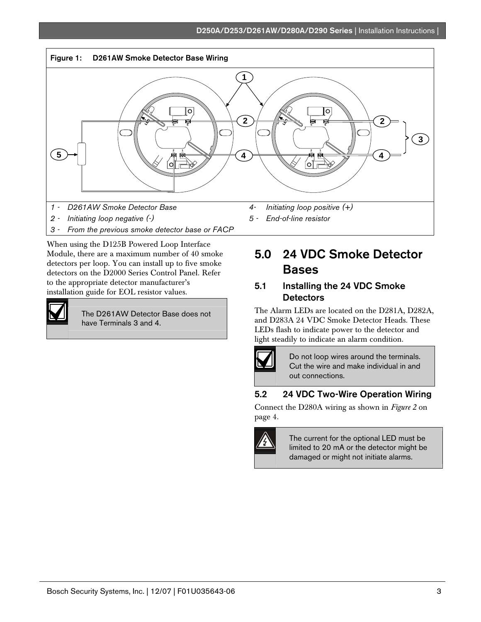

- *2 Initiating loop negative (-)*
- *3 From the previous smoke detector base or FACP*

When using the D125B Powered Loop Interface Module, there are a maximum number of 40 smoke detectors per loop. You can install up to five smoke detectors on the D2000 Series Control Panel. Refer to the appropriate detector manufacturer's installation guide for EOL resistor values.



The D261AW Detector Base does not have Terminals 3 and 4.

*5 - End-of-line resistor*

### 5.0 24 VDC Smoke Detector Bases

#### 5.1 Installing the 24 VDC Smoke **Detectors**

The Alarm LEDs are located on the D281A, D282A, and D283A 24 VDC Smoke Detector Heads. These LEDs flash to indicate power to the detector and light steadily to indicate an alarm condition.



Do not loop wires around the terminals. Cut the wire and make individual in and out connections.

#### 5.2 24 VDC Two-Wire Operation Wiring

Connect the D280A wiring as shown in *Figure 2* on page 4.



The current for the optional LED must be limited to 20 mA or the detector might be damaged or might not initiate alarms.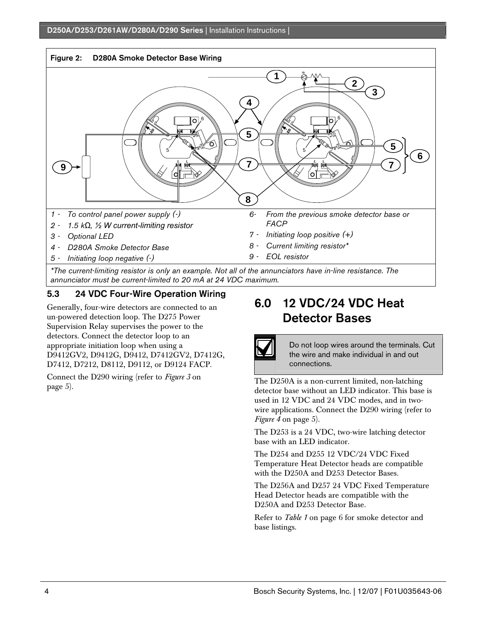

#### 5.3 24 VDC Four-Wire Operation Wiring

Generally, four-wire detectors are connected to an un-powered detection loop. The D275 Power Supervision Relay supervises the power to the detectors. Connect the detector loop to an appropriate initiation loop when using a D9412GV2, D9412G, D9412, D7412GV2, D7412G, D7412, D7212, D8112, D9112, or D9124 FACP.

Connect the D290 wiring (refer to *Figure 3* on page 5).

### 6.0 12 VDC/24 VDC Heat Detector Bases

Do not loop wires around the terminals. Cut the wire and make individual in and out connections.

The D250A is a non-current limited, non-latching detector base without an LED indicator. This base is used in 12 VDC and 24 VDC modes, and in twowire applications. Connect the D290 wiring (refer to *Figure 4* on page 5).

The D253 is a 24 VDC, two-wire latching detector base with an LED indicator.

The D254 and D255 12 VDC/24 VDC Fixed Temperature Heat Detector heads are compatible with the D250A and D253 Detector Bases.

The D256A and D257 24 VDC Fixed Temperature Head Detector heads are compatible with the D250A and D253 Detector Base.

Refer to *Table 1* on page 6 for smoke detector and base listings.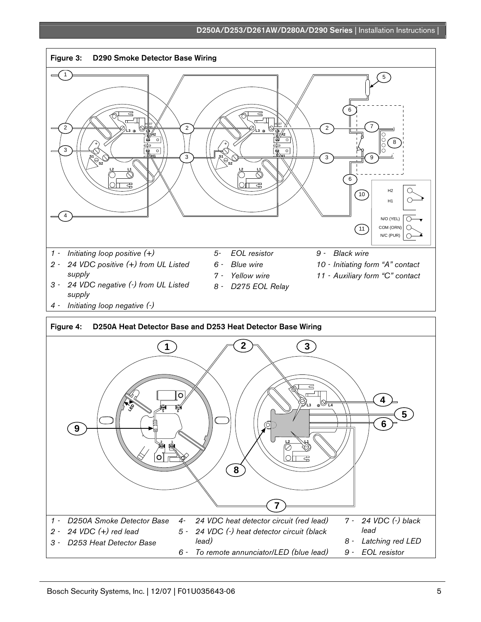#### D250A/D253/D261AW/D280A/D290 Series | Installation Instructions |

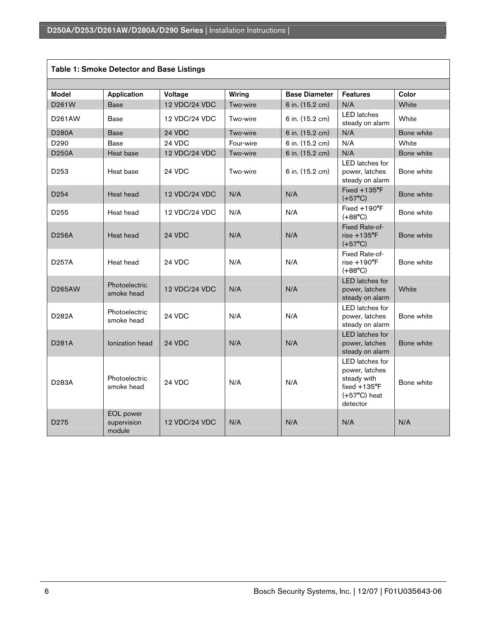| <b>Table 1: Smoke Detector and Base Listings</b> |                                           |               |           |                      |                                                                                                                 |            |  |  |
|--------------------------------------------------|-------------------------------------------|---------------|-----------|----------------------|-----------------------------------------------------------------------------------------------------------------|------------|--|--|
|                                                  |                                           |               |           |                      |                                                                                                                 |            |  |  |
| <b>Model</b>                                     | Application                               | Voltage       | Wiring    | <b>Base Diameter</b> | <b>Features</b>                                                                                                 | Color      |  |  |
| D261W                                            | <b>Base</b>                               | 12 VDC/24 VDC | Two-wire  | 6 in. (15.2 cm)      | N/A                                                                                                             | White      |  |  |
| D261AW                                           | Base                                      | 12 VDC/24 VDC | Two-wire  | 6 in. (15.2 cm)      | <b>LED</b> latches<br>steady on alarm                                                                           | White      |  |  |
| <b>D280A</b>                                     | <b>Base</b>                               | 24 VDC        | Two-wire  | 6 in. (15.2 cm)      | N/A                                                                                                             | Bone white |  |  |
| D <sub>290</sub>                                 | Base                                      | 24 VDC        | Four-wire | 6 in. (15.2 cm)      | N/A                                                                                                             | White      |  |  |
| D <sub>250</sub> A                               | Heat base                                 | 12 VDC/24 VDC | Two-wire  | 6 in. (15.2 cm)      | N/A                                                                                                             | Bone white |  |  |
| D <sub>253</sub>                                 | Heat base                                 | 24 VDC        | Two-wire  | 6 in. (15.2 cm)      | LED latches for<br>power, latches<br>steady on alarm                                                            | Bone white |  |  |
| D <sub>254</sub>                                 | Heat head                                 | 12 VDC/24 VDC | N/A       | N/A                  | $Fixed + 135^{\circ}F$<br>$(+57^{\circ}C)$                                                                      | Bone white |  |  |
| D <sub>255</sub>                                 | Heat head                                 | 12 VDC/24 VDC | N/A       | N/A                  | Fixed $+190^{\circ}F$<br>$(+88^{\circ}C)$                                                                       | Bone white |  |  |
| D256A                                            | Heat head                                 | 24 VDC        | N/A       | N/A                  | Fixed Rate-of-<br>$rise + 135$ <sup>°</sup> F<br>$(+57^{\circ}C)$                                               | Bone white |  |  |
| D257A                                            | Heat head                                 | 24 VDC        | N/A       | N/A                  | Fixed Rate-of-<br>$rise + 190^{\circ}F$<br>$(+88^{\circ}C)$                                                     | Bone white |  |  |
| D265AW                                           | Photoelectric<br>smoke head               | 12 VDC/24 VDC | N/A       | N/A                  | <b>LED</b> latches for<br>power, latches<br>steady on alarm                                                     | White      |  |  |
| D <sub>282</sub> A                               | Photoelectric<br>smoke head               | 24 VDC        | N/A       | N/A                  | <b>LED</b> latches for<br>power, latches<br>steady on alarm                                                     | Bone white |  |  |
| D <sub>281</sub> A                               | Ionization head                           | 24 VDC        | N/A       | N/A                  | <b>LED</b> latches for<br>power, latches<br>steady on alarm                                                     | Bone white |  |  |
| D283A                                            | Photoelectric<br>smoke head               | <b>24 VDC</b> | N/A       | N/A                  | LED latches for<br>power, latches<br>steady with<br>fixed $+135^{\circ}$ F<br>$(+57^{\circ}C)$ heat<br>detector | Bone white |  |  |
| D <sub>275</sub>                                 | <b>EOL</b> power<br>supervision<br>module | 12 VDC/24 VDC | N/A       | N/A                  | N/A                                                                                                             | N/A        |  |  |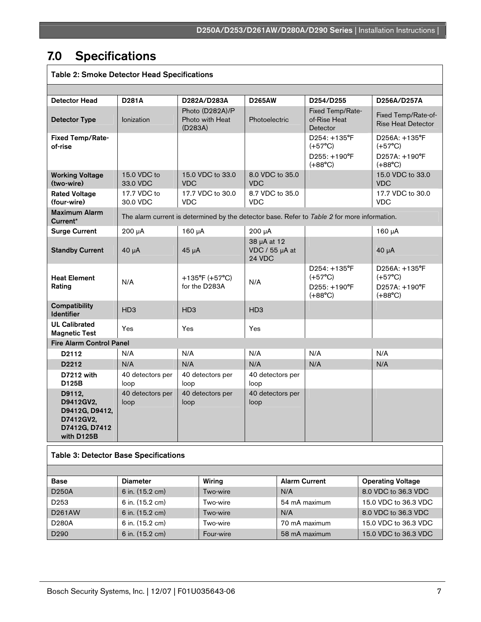#### 7.0 Specifications Г

| <b>Table 2: Smoke Detector Head Specifications</b>                                |                                                                                              |                 |                                                 |                                         |  |                                                                                        |                          |                                                                        |
|-----------------------------------------------------------------------------------|----------------------------------------------------------------------------------------------|-----------------|-------------------------------------------------|-----------------------------------------|--|----------------------------------------------------------------------------------------|--------------------------|------------------------------------------------------------------------|
|                                                                                   |                                                                                              |                 |                                                 |                                         |  |                                                                                        |                          |                                                                        |
| <b>Detector Head</b>                                                              | <b>D281A</b>                                                                                 |                 | D282A/D283A                                     | <b>D265AW</b>                           |  | D254/D255                                                                              |                          | D256A/D257A                                                            |
| <b>Detector Type</b>                                                              | <b>lonization</b>                                                                            | (D283A)         | Photo (D282A)/P<br>Photo with Heat              | Photoelectric                           |  | Fixed Temp/Rate-<br>of-Rise Heat<br>Detector                                           |                          | Fixed Temp/Rate-of-<br><b>Rise Heat Detector</b>                       |
| Fixed Temp/Rate-<br>of-rise                                                       |                                                                                              |                 |                                                 |                                         |  | $D254: +135^{\circ}F$<br>$(+57^{\circ}C)$<br>D255: +190°F<br>$(+88^{\circ}C)$          |                          | D256A: +135°F<br>$(+57^{\circ}C)$<br>D257A: +190°F<br>$(+88^{\circ}C)$ |
| <b>Working Voltage</b><br>(two-wire)                                              | 15.0 VDC to<br>33.0 VDC                                                                      | <b>VDC</b>      | 15.0 VDC to 33.0                                | 8.0 VDC to 35.0<br><b>VDC</b>           |  |                                                                                        |                          | 15.0 VDC to 33.0<br><b>VDC</b>                                         |
| <b>Rated Voltage</b><br>(four-wire)                                               | 17.7 VDC to<br>30.0 VDC                                                                      | <b>VDC</b>      | 17.7 VDC to 30.0                                | 8.7 VDC to 35.0<br><b>VDC</b>           |  |                                                                                        |                          | 17.7 VDC to 30.0<br>VDC                                                |
| <b>Maximum Alarm</b><br>Current*                                                  | The alarm current is determined by the detector base. Refer to Table 2 for more information. |                 |                                                 |                                         |  |                                                                                        |                          |                                                                        |
| <b>Surge Current</b>                                                              | $200 \mu A$                                                                                  | $160 \mu A$     |                                                 | $200 \mu A$                             |  |                                                                                        |                          | 160 µA                                                                 |
| <b>Standby Current</b>                                                            | $40 \mu A$                                                                                   | $45 \mu A$      |                                                 | 38 µA at 12<br>VDC / 55 µA at<br>24 VDC |  |                                                                                        |                          | $40 \mu A$                                                             |
| <b>Heat Element</b><br>Rating                                                     | N/A                                                                                          |                 | $+135^{\circ}F (+57^{\circ}C)$<br>for the D283A | N/A                                     |  | $D254: +135^{\circ}F$<br>$(+57^{\circ}C)$<br>$D255: +190^{\circ}F$<br>$(+88^{\circ}C)$ |                          | D256A: +135°F<br>$(+57^{\circ}C)$<br>D257A: +190°F<br>$(+88^{\circ}C)$ |
| <b>Compatibility</b><br><b>Identifier</b>                                         | H <sub>D</sub> 3                                                                             | HD <sub>3</sub> |                                                 | H <sub>D</sub> 3                        |  |                                                                                        |                          |                                                                        |
| <b>UL Calibrated</b><br><b>Magnetic Test</b>                                      | Yes                                                                                          | Yes             |                                                 | Yes                                     |  |                                                                                        |                          |                                                                        |
| <b>Fire Alarm Control Panel</b>                                                   |                                                                                              |                 |                                                 |                                         |  |                                                                                        |                          |                                                                        |
| D2112                                                                             | N/A                                                                                          | N/A             |                                                 | N/A                                     |  | N/A                                                                                    |                          | N/A                                                                    |
| D2212                                                                             | N/A                                                                                          | N/A             |                                                 | N/A                                     |  | N/A                                                                                    |                          | N/A                                                                    |
| D7212 with<br>D125B                                                               | 40 detectors per<br>loop                                                                     | loop            | 40 detectors per                                | 40 detectors per<br>loop                |  |                                                                                        |                          |                                                                        |
| D9112,<br>D9412GV2,<br>D9412G, D9412,<br>D7412GV2.<br>D7412G, D7412<br>with D125B | 40 detectors per<br>loop                                                                     | loop            | 40 detectors per                                | 40 detectors per<br>loop                |  |                                                                                        |                          |                                                                        |
| <b>Table 3: Detector Base Specifications</b>                                      |                                                                                              |                 |                                                 |                                         |  |                                                                                        |                          |                                                                        |
|                                                                                   |                                                                                              |                 |                                                 |                                         |  |                                                                                        |                          |                                                                        |
| Base                                                                              | <b>Diameter</b><br>Wiring                                                                    |                 |                                                 | <b>Alarm Current</b>                    |  |                                                                                        | <b>Operating Voltage</b> |                                                                        |
| D250A                                                                             | 6 in. (15.2 cm)<br>Two-wire                                                                  |                 | N/A                                             |                                         |  | 8.0 VDC to 36.3 VDC                                                                    |                          |                                                                        |
| D <sub>253</sub>                                                                  | 6 in. (15.2 cm)<br>Two-wire                                                                  |                 | 54 mA maximum                                   |                                         |  | 15.0 VDC to 36.3 VDC                                                                   |                          |                                                                        |

| D253             | 6 in. (15.2 cm) | Two-wire  | 54 mA maximum | 15.0 VDC to 36.3 VDC |
|------------------|-----------------|-----------|---------------|----------------------|
| D261AW           | 6 in. (15.2 cm) | Two-wire  | N/A           | 8.0 VDC to 36.3 VDC  |
| D280A            | 6 in. (15.2 cm) | Two-wire  | 70 mA maximum | 15.0 VDC to 36.3 VDC |
| D <sub>290</sub> | 6 in. (15.2 cm) | Four-wire | 58 mA maximum | 15.0 VDC to 36.3 VDC |
|                  |                 |           |               |                      |